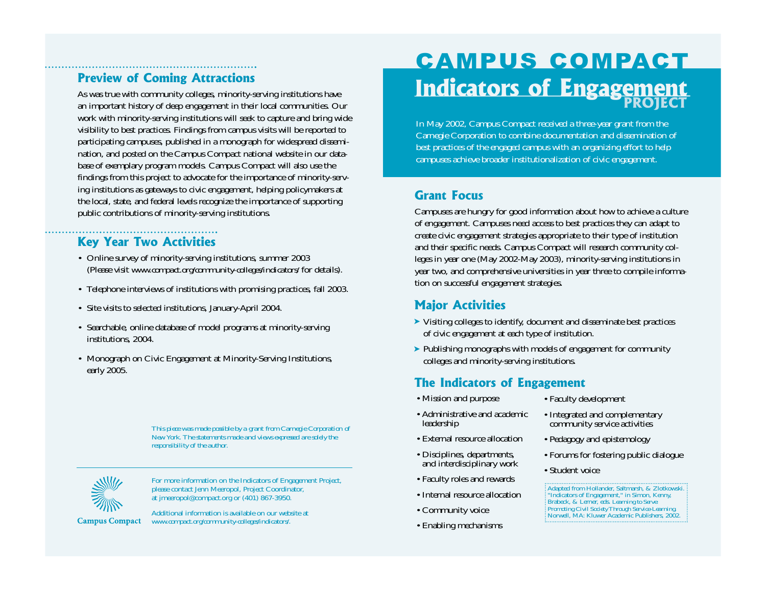# **Preview of Coming Attractions**

As was true with community colleges, minority-serving institutions have an important history of deep engagement in their local communities. Our work with minority-serving institutions will seek to capture and bring wide visibility to best practices. Findings from campus visits will be reported to participating campuses, published in a monograph for widespread dissemination, and posted on the Campus Compact national website in our database of exemplary program models. Campus Compact will also use the findings from this project to advocate for the importance of minority-serving institutions as gateways to civic engagement, helping policymakers at the local, state, and federal levels recognize the importance of supporting public contributions of minority-serving institutions.

# **Key Year Two Activities**

- Online survey of minority-serving institutions, summer 2003 (Please visit *www.compact.org/community-colleges/indicators/* for details).
- Telephone interviews of institutions with promising practices, fall 2003.
- Site visits to selected institutions, January-April 2004.
- Searchable, online database of model programs at minority-serving institutions, 2004.
- Monograph on Civic Engagement at Minority-Serving Institutions, early 2005.

*This piece was made possible by a grant from Carnegie Corporation of New York. The statements made and views expressed are solely the responsibility of the author.*



For more information on the Indicators of Engagement Project, please contact Jenn Meeropol, Project Coordinator, at jmeeropol@compact.org or (401) 867-3950.

**Campus Compact** 

Additional information is available on our website at *www.compact.org/community-colleges/indicators/*.

# CAMPUS COMPACT**Indicators of Engagement**

In May 2002, Campus Compact received a three-year grant from the Carnegie Corporation to combine documentation and dissemination of best practices of the engaged campus with an organizing effort to help campuses achieve broader institutionalization of civic engagement.

## **Grant Focus**

Campuses are hungry for good information about how to achieve a culture of engagement. Campuses need access to best practices they can adapt to create civic engagement strategies appropriate to their type of institution and their specific needs. Campus Compact will research community colleges in year one (May 2002-May 2003), minority-serving institutions in year two, and comprehensive universities in year three to compile information on successful engagement strategies.

## **Major Activities**

- ➤ Visiting colleges to identify, document and disseminate best practices of civic engagement at each type of institution.
- ► Publishing monographs with models of engagement for community colleges and minority-serving institutions.

# **The Indicators of Engagement**

- Mission and purpose
- Administrative and academic leadership
- External resource allocation
- Disciplines, departments, and interdisciplinary work
- Faculty roles and rewards
- Internal resource allocation
- Community voice
- Enabling mechanisms
- Faculty development
- Integrated and complementary community service activities
- Pedagogy and epistemology
- Forums for fostering public dialogue
- Student voice

Adapted from Hollander, Saltmarsh, & Zlotkowski. "Indicators of Engagement," in Simon, Kenny,<br>Brabeck, & Lerner, eds*. Learning to Serve:<br>Promoting Civil Society Through Service-Learning.<br>Norwell, MA: Kluwer Academic Publishers, 2002.*